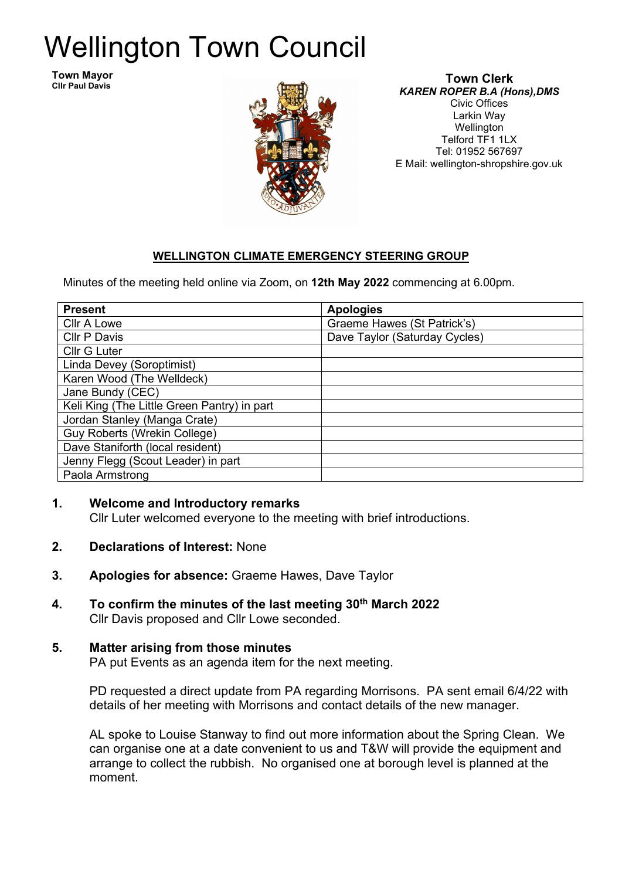# Wellington Town Council

**Town Mayor Cllr Paul Davis**



#### **Town Clerk** *KAREN ROPER B.A (Hons),DMS* Civic Offices Larkin Way Wellington Telford TF1 1LX Tel: 01952 567697 E Mail: wellington-shropshire.gov.uk

## **WELLINGTON CLIMATE EMERGENCY STEERING GROUP**

Minutes of the meeting held online via Zoom, on **12th May 2022** commencing at 6.00pm.

| <b>Present</b>                              | <b>Apologies</b>              |
|---------------------------------------------|-------------------------------|
| Cllr A Lowe                                 | Graeme Hawes (St Patrick's)   |
| Cllr P Davis                                | Dave Taylor (Saturday Cycles) |
| <b>Cllr G Luter</b>                         |                               |
| Linda Devey (Soroptimist)                   |                               |
| Karen Wood (The Welldeck)                   |                               |
| Jane Bundy (CEC)                            |                               |
| Keli King (The Little Green Pantry) in part |                               |
| Jordan Stanley (Manga Crate)                |                               |
| <b>Guy Roberts (Wrekin College)</b>         |                               |
| Dave Staniforth (local resident)            |                               |
| Jenny Flegg (Scout Leader) in part          |                               |
| Paola Armstrong                             |                               |

### **1. Welcome and Introductory remarks**

Cllr Luter welcomed everyone to the meeting with brief introductions.

- **2. Declarations of Interest:** None
- **3. Apologies for absence:** Graeme Hawes, Dave Taylor
- **4. To confirm the minutes of the last meeting 30th March 2022** Cllr Davis proposed and Cllr Lowe seconded.

### **5. Matter arising from those minutes**

PA put Events as an agenda item for the next meeting.

PD requested a direct update from PA regarding Morrisons. PA sent email 6/4/22 with details of her meeting with Morrisons and contact details of the new manager.

AL spoke to Louise Stanway to find out more information about the Spring Clean. We can organise one at a date convenient to us and T&W will provide the equipment and arrange to collect the rubbish. No organised one at borough level is planned at the moment.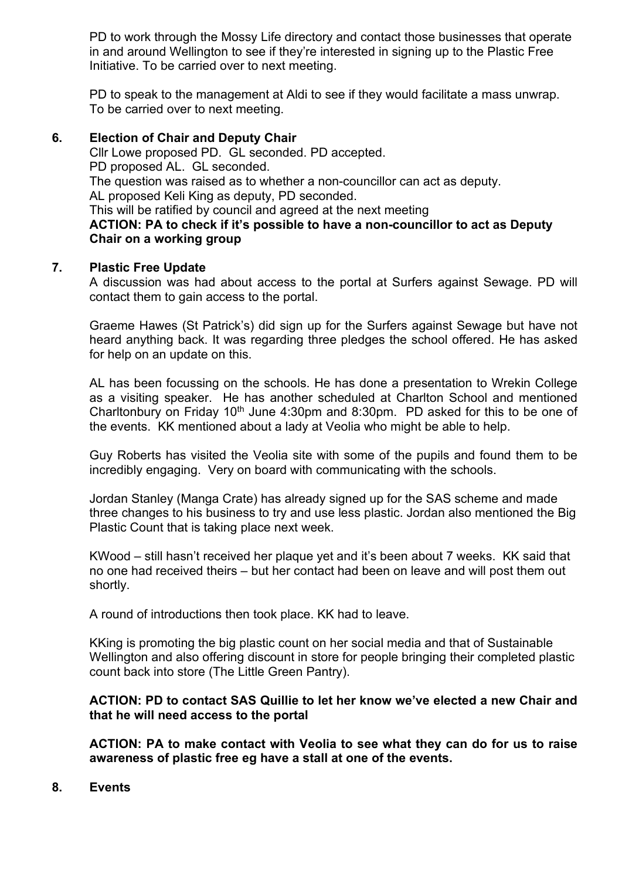PD to work through the Mossy Life directory and contact those businesses that operate in and around Wellington to see if they're interested in signing up to the Plastic Free Initiative. To be carried over to next meeting.

PD to speak to the management at Aldi to see if they would facilitate a mass unwrap. To be carried over to next meeting.

#### **6. Election of Chair and Deputy Chair**

Cllr Lowe proposed PD. GL seconded. PD accepted. PD proposed AL. GL seconded. The question was raised as to whether a non-councillor can act as deputy. AL proposed Keli King as deputy, PD seconded. This will be ratified by council and agreed at the next meeting **ACTION: PA to check if it's possible to have a non-councillor to act as Deputy Chair on a working group**

#### **7. Plastic Free Update**

A discussion was had about access to the portal at Surfers against Sewage. PD will contact them to gain access to the portal.

Graeme Hawes (St Patrick's) did sign up for the Surfers against Sewage but have not heard anything back. It was regarding three pledges the school offered. He has asked for help on an update on this.

AL has been focussing on the schools. He has done a presentation to Wrekin College as a visiting speaker. He has another scheduled at Charlton School and mentioned Charltonbury on Friday 10<sup>th</sup> June 4:30pm and 8:30pm. PD asked for this to be one of the events. KK mentioned about a lady at Veolia who might be able to help.

Guy Roberts has visited the Veolia site with some of the pupils and found them to be incredibly engaging. Very on board with communicating with the schools.

Jordan Stanley (Manga Crate) has already signed up for the SAS scheme and made three changes to his business to try and use less plastic. Jordan also mentioned the Big Plastic Count that is taking place next week.

KWood – still hasn't received her plaque yet and it's been about 7 weeks. KK said that no one had received theirs – but her contact had been on leave and will post them out shortly.

A round of introductions then took place. KK had to leave.

KKing is promoting the big plastic count on her social media and that of Sustainable Wellington and also offering discount in store for people bringing their completed plastic count back into store (The Little Green Pantry).

### **ACTION: PD to contact SAS Quillie to let her know we've elected a new Chair and that he will need access to the portal**

**ACTION: PA to make contact with Veolia to see what they can do for us to raise awareness of plastic free eg have a stall at one of the events.** 

**8. Events**